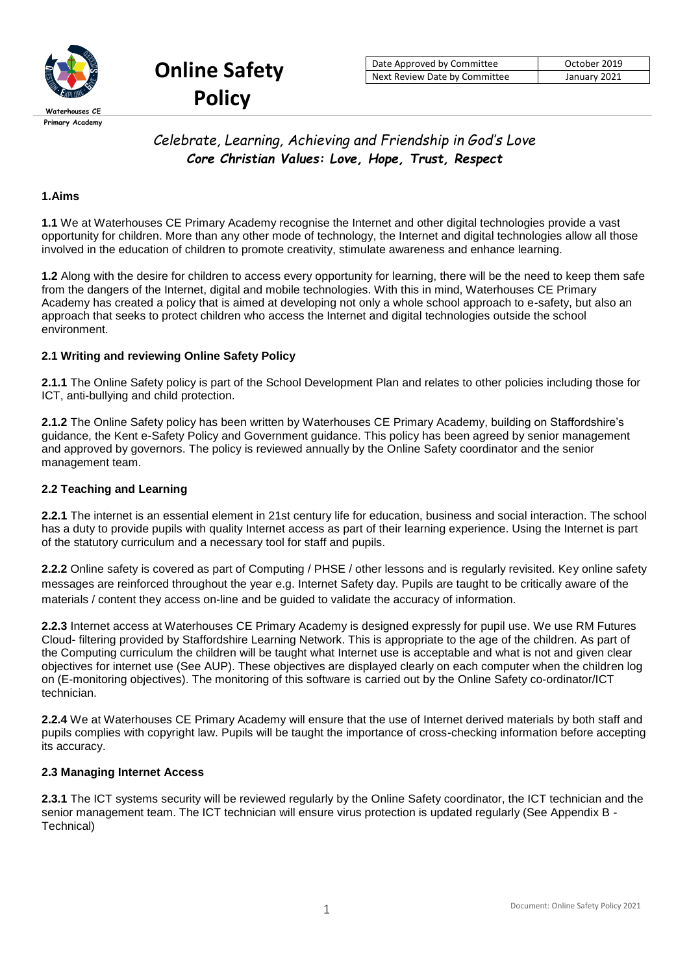

**Online Safety Policy**

# *Celebrate, Learning, Achieving and Friendship in God's Love Core Christian Values: Love, Hope, Trust, Respect*

# **1.Aims**

**1.1** We at Waterhouses CE Primary Academy recognise the Internet and other digital technologies provide a vast opportunity for children. More than any other mode of technology, the Internet and digital technologies allow all those involved in the education of children to promote creativity, stimulate awareness and enhance learning.

**1.2** Along with the desire for children to access every opportunity for learning, there will be the need to keep them safe from the dangers of the Internet, digital and mobile technologies. With this in mind, Waterhouses CE Primary Academy has created a policy that is aimed at developing not only a whole school approach to e-safety, but also an approach that seeks to protect children who access the Internet and digital technologies outside the school environment.

# **2.1 Writing and reviewing Online Safety Policy**

**2.1.1** The Online Safety policy is part of the School Development Plan and relates to other policies including those for ICT, anti-bullying and child protection.

**2.1.2** The Online Safety policy has been written by Waterhouses CE Primary Academy, building on Staffordshire's guidance, the Kent e-Safety Policy and Government guidance. This policy has been agreed by senior management and approved by governors. The policy is reviewed annually by the Online Safety coordinator and the senior management team.

## **2.2 Teaching and Learning**

**2.2.1** The internet is an essential element in 21st century life for education, business and social interaction. The school has a duty to provide pupils with quality Internet access as part of their learning experience. Using the Internet is part of the statutory curriculum and a necessary tool for staff and pupils.

**2.2.2** Online safety is covered as part of Computing / PHSE / other lessons and is regularly revisited. Key online safety messages are reinforced throughout the year e.g. Internet Safety day. Pupils are taught to be critically aware of the materials / content they access on-line and be guided to validate the accuracy of information.

**2.2.3** Internet access at Waterhouses CE Primary Academy is designed expressly for pupil use. We use RM Futures Cloud- filtering provided by Staffordshire Learning Network. This is appropriate to the age of the children. As part of the Computing curriculum the children will be taught what Internet use is acceptable and what is not and given clear objectives for internet use (See AUP). These objectives are displayed clearly on each computer when the children log on (E-monitoring objectives). The monitoring of this software is carried out by the Online Safety co-ordinator/ICT technician.

**2.2.4** We at Waterhouses CE Primary Academy will ensure that the use of Internet derived materials by both staff and pupils complies with copyright law. Pupils will be taught the importance of cross-checking information before accepting its accuracy.

#### **2.3 Managing Internet Access**

**2.3.1** The ICT systems security will be reviewed regularly by the Online Safety coordinator, the ICT technician and the senior management team. The ICT technician will ensure virus protection is updated regularly (See Appendix B -Technical)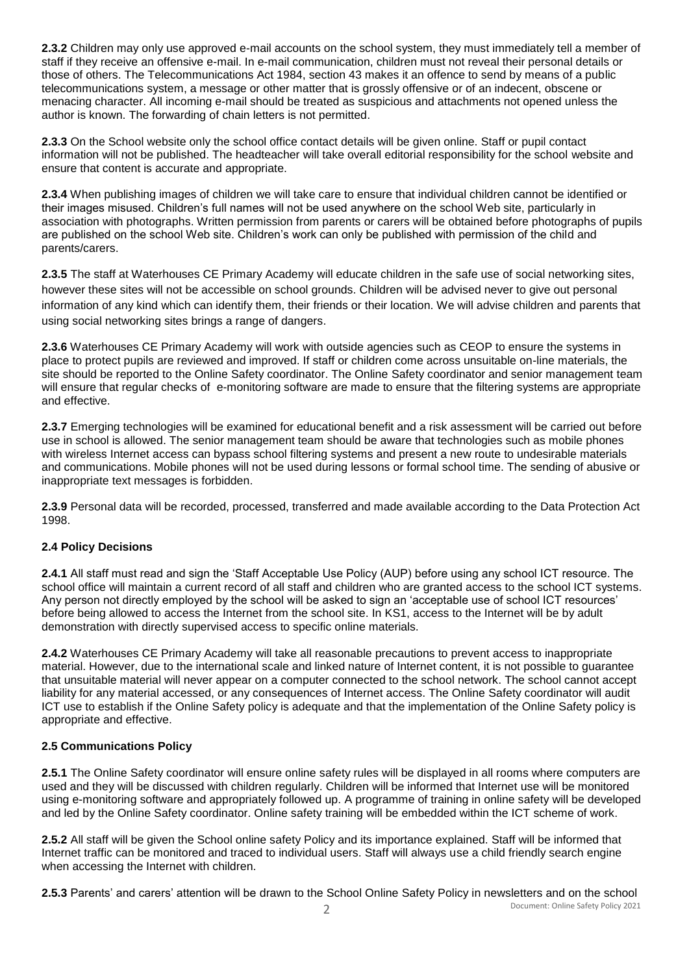**2.3.2** Children may only use approved e-mail accounts on the school system, they must immediately tell a member of staff if they receive an offensive e-mail. In e-mail communication, children must not reveal their personal details or those of others. The Telecommunications Act 1984, section 43 makes it an offence to send by means of a public telecommunications system, a message or other matter that is grossly offensive or of an indecent, obscene or menacing character. All incoming e-mail should be treated as suspicious and attachments not opened unless the author is known. The forwarding of chain letters is not permitted.

**2.3.3** On the School website only the school office contact details will be given online. Staff or pupil contact information will not be published. The headteacher will take overall editorial responsibility for the school website and ensure that content is accurate and appropriate.

**2.3.4** When publishing images of children we will take care to ensure that individual children cannot be identified or their images misused. Children's full names will not be used anywhere on the school Web site, particularly in association with photographs. Written permission from parents or carers will be obtained before photographs of pupils are published on the school Web site. Children's work can only be published with permission of the child and parents/carers.

**2.3.5** The staff at Waterhouses CE Primary Academy will educate children in the safe use of social networking sites, however these sites will not be accessible on school grounds. Children will be advised never to give out personal information of any kind which can identify them, their friends or their location. We will advise children and parents that using social networking sites brings a range of dangers.

**2.3.6** Waterhouses CE Primary Academy will work with outside agencies such as CEOP to ensure the systems in place to protect pupils are reviewed and improved. If staff or children come across unsuitable on-line materials, the site should be reported to the Online Safety coordinator. The Online Safety coordinator and senior management team will ensure that regular checks of e-monitoring software are made to ensure that the filtering systems are appropriate and effective.

**2.3.7** Emerging technologies will be examined for educational benefit and a risk assessment will be carried out before use in school is allowed. The senior management team should be aware that technologies such as mobile phones with wireless Internet access can bypass school filtering systems and present a new route to undesirable materials and communications. Mobile phones will not be used during lessons or formal school time. The sending of abusive or inappropriate text messages is forbidden.

**2.3.9** Personal data will be recorded, processed, transferred and made available according to the Data Protection Act 1998.

# **2.4 Policy Decisions**

**2.4.1** All staff must read and sign the 'Staff Acceptable Use Policy (AUP) before using any school ICT resource. The school office will maintain a current record of all staff and children who are granted access to the school ICT systems. Any person not directly employed by the school will be asked to sign an 'acceptable use of school ICT resources' before being allowed to access the Internet from the school site. In KS1, access to the Internet will be by adult demonstration with directly supervised access to specific online materials.

**2.4.2** Waterhouses CE Primary Academy will take all reasonable precautions to prevent access to inappropriate material. However, due to the international scale and linked nature of Internet content, it is not possible to guarantee that unsuitable material will never appear on a computer connected to the school network. The school cannot accept liability for any material accessed, or any consequences of Internet access. The Online Safety coordinator will audit ICT use to establish if the Online Safety policy is adequate and that the implementation of the Online Safety policy is appropriate and effective.

# **2.5 Communications Policy**

**2.5.1** The Online Safety coordinator will ensure online safety rules will be displayed in all rooms where computers are used and they will be discussed with children regularly. Children will be informed that Internet use will be monitored using e-monitoring software and appropriately followed up. A programme of training in online safety will be developed and led by the Online Safety coordinator. Online safety training will be embedded within the ICT scheme of work.

**2.5.2** All staff will be given the School online safety Policy and its importance explained. Staff will be informed that Internet traffic can be monitored and traced to individual users. Staff will always use a child friendly search engine when accessing the Internet with children.

**2.5.3** Parents' and carers' attention will be drawn to the School Online Safety Policy in newsletters and on the school